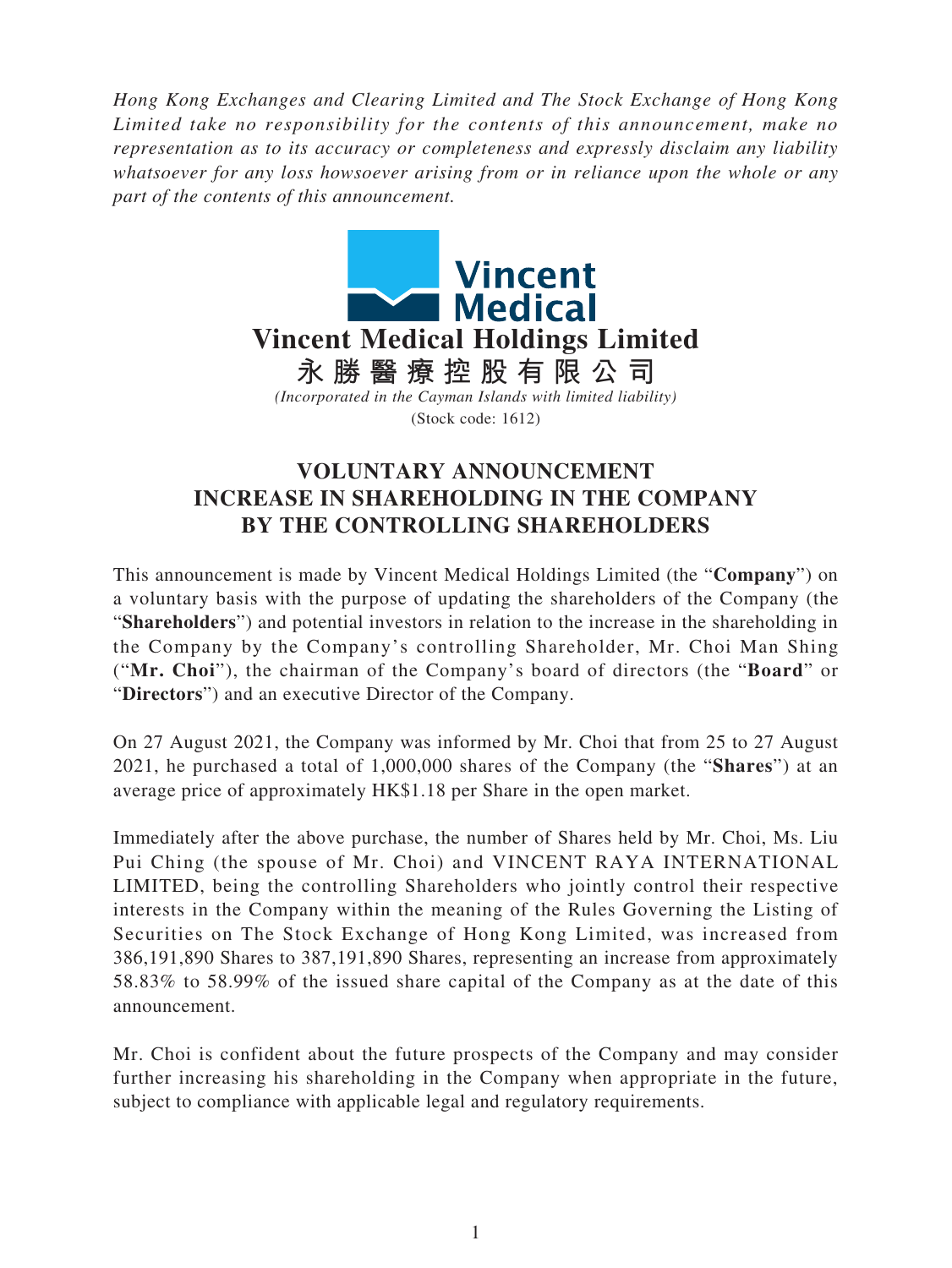*Hong Kong Exchanges and Clearing Limited and The Stock Exchange of Hong Kong Limited take no responsibility for the contents of this announcement, make no representation as to its accuracy or completeness and expressly disclaim any liability whatsoever for any loss howsoever arising from or in reliance upon the whole or any part of the contents of this announcement.*



## **VOLUNTARY ANNOUNCEMENT INCREASE IN SHAREHOLDING IN THE COMPANY BY THE CONTROLLING SHAREHOLDERS**

This announcement is made by Vincent Medical Holdings Limited (the "**Company**") on a voluntary basis with the purpose of updating the shareholders of the Company (the "**Shareholders**") and potential investors in relation to the increase in the shareholding in the Company by the Company's controlling Shareholder, Mr. Choi Man Shing ("**Mr. Choi**"), the chairman of the Company's board of directors (the "**Board**" or "**Directors**") and an executive Director of the Company.

On 27 August 2021, the Company was informed by Mr. Choi that from 25 to 27 August 2021, he purchased a total of 1,000,000 shares of the Company (the "**Shares**") at an average price of approximately HK\$1.18 per Share in the open market.

Immediately after the above purchase, the number of Shares held by Mr. Choi, Ms. Liu Pui Ching (the spouse of Mr. Choi) and VINCENT RAYA INTERNATIONAL LIMITED, being the controlling Shareholders who jointly control their respective interests in the Company within the meaning of the Rules Governing the Listing of Securities on The Stock Exchange of Hong Kong Limited, was increased from 386,191,890 Shares to 387,191,890 Shares, representing an increase from approximately 58.83% to 58.99% of the issued share capital of the Company as at the date of this announcement.

Mr. Choi is confident about the future prospects of the Company and may consider further increasing his shareholding in the Company when appropriate in the future, subject to compliance with applicable legal and regulatory requirements.